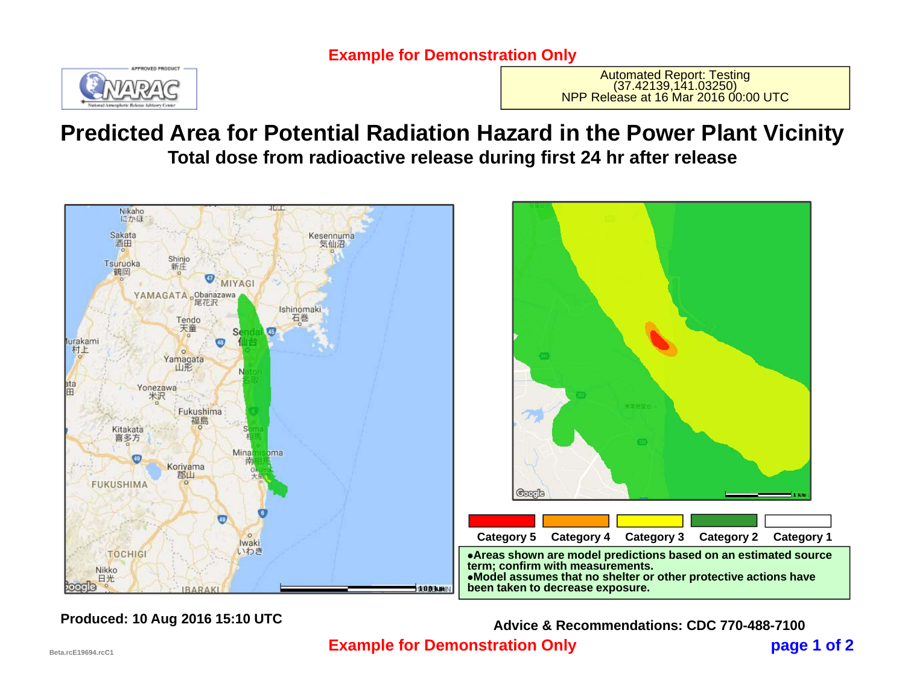

Automated Report: Testing<br>(37.42139,141.03250)<br>NPP Release at 16 Mar 2016 00:00 UTC

## **Predicted Area for Potential Radiation Hazard in the Power Plant Vicinity Total dose from radioactive release during first 24 hr after release**



 **page 1 of 2 Example for Demonstration Only Produced: 10 Aug 2016 15:10 UTC Advice & Recommendations: CDC 770-488-7100**